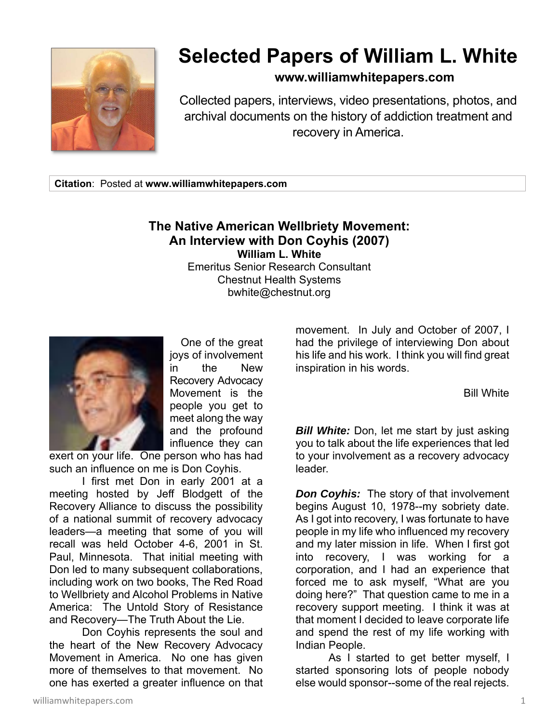

## **Selected Papers of William L. White**

## **www.williamwhitepapers.com**

Collected papers, interviews, video presentations, photos, and archival documents on the history of addiction treatment and recovery in America.

**Citation**: Posted at **www.williamwhitepapers.com** 

## **The Native American Wellbriety Movement: An Interview with Don Coyhis (2007) William L. White**

Emeritus Senior Research Consultant Chestnut Health Systems bwhite@chestnut.org



 One of the great joys of involvement in the New Recovery Advocacy Movement is the people you get to meet along the way and the profound influence they can

exert on your life. One person who has had such an influence on me is Don Coyhis.

 I first met Don in early 2001 at a meeting hosted by Jeff Blodgett of the Recovery Alliance to discuss the possibility of a national summit of recovery advocacy leaders—a meeting that some of you will recall was held October 4-6, 2001 in St. Paul, Minnesota. That initial meeting with Don led to many subsequent collaborations, including work on two books, The Red Road to Wellbriety and Alcohol Problems in Native America: The Untold Story of Resistance and Recovery—The Truth About the Lie.

 Don Coyhis represents the soul and the heart of the New Recovery Advocacy Movement in America. No one has given more of themselves to that movement. No one has exerted a greater influence on that

movement. In July and October of 2007, I had the privilege of interviewing Don about his life and his work. I think you will find great inspiration in his words.

Bill White

**Bill White:** Don, let me start by just asking you to talk about the life experiences that led to your involvement as a recovery advocacy leader.

*Don Coyhis:* The story of that involvement begins August 10, 1978--my sobriety date. As I got into recovery, I was fortunate to have people in my life who influenced my recovery and my later mission in life. When I first got into recovery, I was working for a corporation, and I had an experience that forced me to ask myself, "What are you doing here?" That question came to me in a recovery support meeting. I think it was at that moment I decided to leave corporate life and spend the rest of my life working with Indian People.

 As I started to get better myself, I started sponsoring lots of people nobody else would sponsor--some of the real rejects.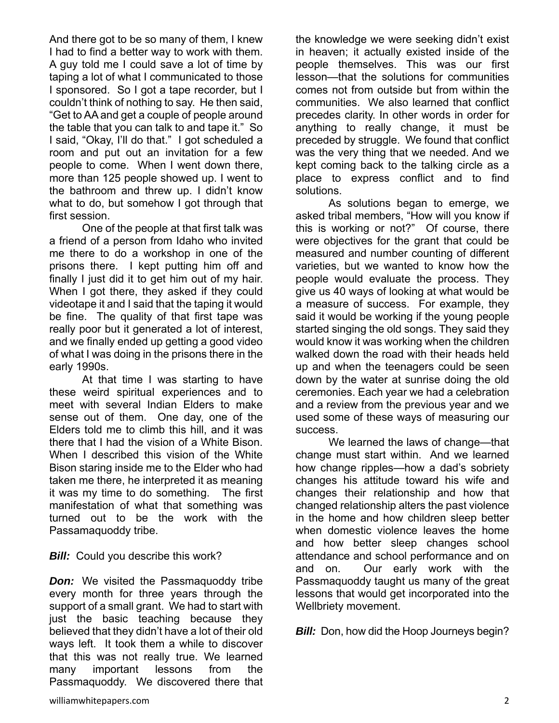And there got to be so many of them, I knew I had to find a better way to work with them. A guy told me I could save a lot of time by taping a lot of what I communicated to those I sponsored. So I got a tape recorder, but I couldn't think of nothing to say. He then said, "Get to AA and get a couple of people around the table that you can talk to and tape it." So I said, "Okay, I'll do that." I got scheduled a room and put out an invitation for a few people to come. When I went down there, more than 125 people showed up. I went to the bathroom and threw up. I didn't know what to do, but somehow I got through that first session.

 One of the people at that first talk was a friend of a person from Idaho who invited me there to do a workshop in one of the prisons there. I kept putting him off and finally I just did it to get him out of my hair. When I got there, they asked if they could videotape it and I said that the taping it would be fine. The quality of that first tape was really poor but it generated a lot of interest, and we finally ended up getting a good video of what I was doing in the prisons there in the early 1990s.

 At that time I was starting to have these weird spiritual experiences and to meet with several Indian Elders to make sense out of them. One day, one of the Elders told me to climb this hill, and it was there that I had the vision of a White Bison. When I described this vision of the White Bison staring inside me to the Elder who had taken me there, he interpreted it as meaning it was my time to do something. The first manifestation of what that something was turned out to be the work with the Passamaquoddy tribe.

## **Bill:** Could you describe this work?

**Don:** We visited the Passmaquoddy tribe every month for three years through the support of a small grant. We had to start with just the basic teaching because they believed that they didn't have a lot of their old ways left. It took them a while to discover that this was not really true. We learned many important lessons from the Passmaquoddy. We discovered there that

the knowledge we were seeking didn't exist in heaven; it actually existed inside of the people themselves. This was our first lesson—that the solutions for communities comes not from outside but from within the communities. We also learned that conflict precedes clarity. In other words in order for anything to really change, it must be preceded by struggle. We found that conflict was the very thing that we needed. And we kept coming back to the talking circle as a place to express conflict and to find solutions.

 As solutions began to emerge, we asked tribal members, "How will you know if this is working or not?" Of course, there were objectives for the grant that could be measured and number counting of different varieties, but we wanted to know how the people would evaluate the process. They give us 40 ways of looking at what would be a measure of success. For example, they said it would be working if the young people started singing the old songs. They said they would know it was working when the children walked down the road with their heads held up and when the teenagers could be seen down by the water at sunrise doing the old ceremonies. Each year we had a celebration and a review from the previous year and we used some of these ways of measuring our success.

 We learned the laws of change—that change must start within. And we learned how change ripples—how a dad's sobriety changes his attitude toward his wife and changes their relationship and how that changed relationship alters the past violence in the home and how children sleep better when domestic violence leaves the home and how better sleep changes school attendance and school performance and on and on. Our early work with the Passmaquoddy taught us many of the great lessons that would get incorporated into the Wellbriety movement.

*Bill:* Don, how did the Hoop Journeys begin?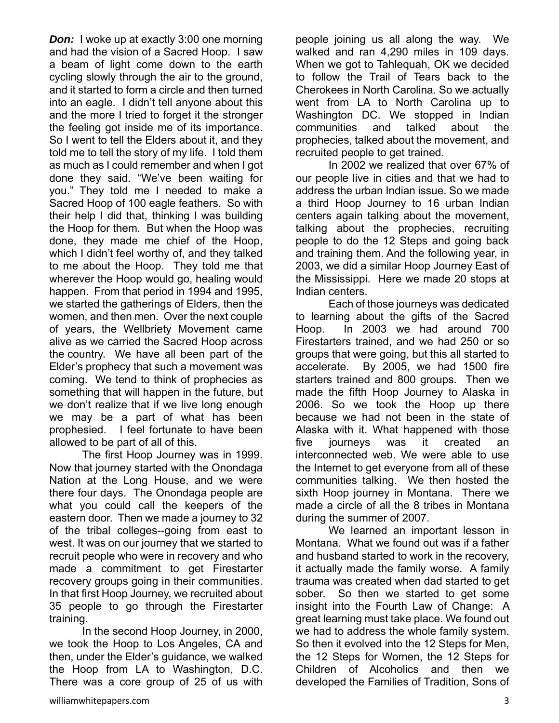*Don:* I woke up at exactly 3:00 one morning and had the vision of a Sacred Hoop. I saw a beam of light come down to the earth cycling slowly through the air to the ground, and it started to form a circle and then turned into an eagle. I didn't tell anyone about this and the more I tried to forget it the stronger the feeling got inside me of its importance. So I went to tell the Elders about it, and they told me to tell the story of my life. I told them as much as I could remember and when I got done they said. "We've been waiting for you." They told me I needed to make a Sacred Hoop of 100 eagle feathers. So with their help I did that, thinking I was building the Hoop for them. But when the Hoop was done, they made me chief of the Hoop, which I didn't feel worthy of, and they talked to me about the Hoop. They told me that wherever the Hoop would go, healing would happen. From that period in 1994 and 1995, we started the gatherings of Elders, then the women, and then men. Over the next couple of years, the Wellbriety Movement came alive as we carried the Sacred Hoop across the country. We have all been part of the Elder's prophecy that such a movement was coming. We tend to think of prophecies as something that will happen in the future, but we don't realize that if we live long enough we may be a part of what has been prophesied. I feel fortunate to have been allowed to be part of all of this.

 The first Hoop Journey was in 1999. Now that journey started with the Onondaga Nation at the Long House, and we were there four days. The Onondaga people are what you could call the keepers of the eastern door. Then we made a journey to 32 of the tribal colleges--going from east to west. It was on our journey that we started to recruit people who were in recovery and who made a commitment to get Firestarter recovery groups going in their communities. In that first Hoop Journey, we recruited about 35 people to go through the Firestarter training.

 In the second Hoop Journey, in 2000, we took the Hoop to Los Angeles, CA and then, under the Elder's guidance, we walked the Hoop from LA to Washington, D.C. There was a core group of 25 of us with

people joining us all along the way. We walked and ran 4,290 miles in 109 days. When we got to Tahlequah, OK we decided to follow the Trail of Tears back to the Cherokees in North Carolina. So we actually went from LA to North Carolina up to Washington DC. We stopped in Indian communities and talked about the prophecies, talked about the movement, and recruited people to get trained.

 In 2002 we realized that over 67% of our people live in cities and that we had to address the urban Indian issue. So we made a third Hoop Journey to 16 urban Indian centers again talking about the movement, talking about the prophecies, recruiting people to do the 12 Steps and going back and training them. And the following year, in 2003, we did a similar Hoop Journey East of the Mississippi. Here we made 20 stops at Indian centers.

 Each of those journeys was dedicated to learning about the gifts of the Sacred Hoop. In 2003 we had around 700 Firestarters trained, and we had 250 or so groups that were going, but this all started to accelerate. By 2005, we had 1500 fire starters trained and 800 groups. Then we made the fifth Hoop Journey to Alaska in 2006. So we took the Hoop up there because we had not been in the state of Alaska with it. What happened with those five journeys was it created an interconnected web. We were able to use the Internet to get everyone from all of these communities talking. We then hosted the sixth Hoop journey in Montana. There we made a circle of all the 8 tribes in Montana during the summer of 2007.

 We learned an important lesson in Montana. What we found out was if a father and husband started to work in the recovery, it actually made the family worse. A family trauma was created when dad started to get sober. So then we started to get some insight into the Fourth Law of Change: A great learning must take place. We found out we had to address the whole family system. So then it evolved into the 12 Steps for Men, the 12 Steps for Women, the 12 Steps for Children of Alcoholics and then we developed the Families of Tradition, Sons of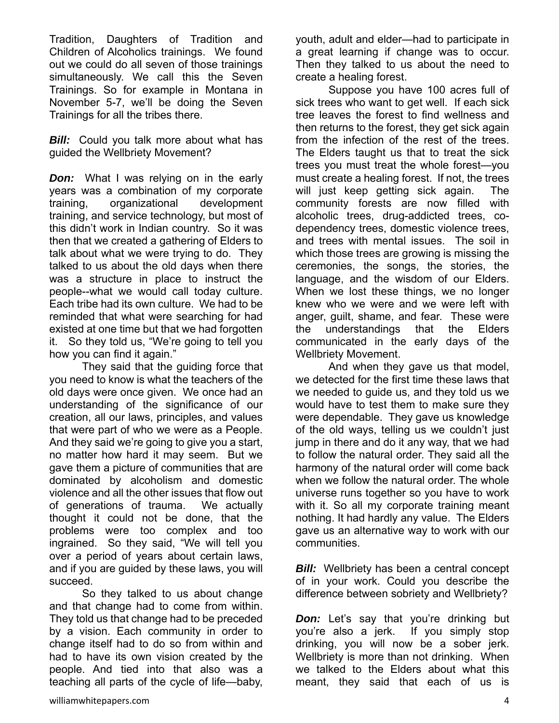Tradition, Daughters of Tradition and Children of Alcoholics trainings. We found out we could do all seven of those trainings simultaneously. We call this the Seven Trainings. So for example in Montana in November 5-7, we'll be doing the Seven Trainings for all the tribes there.

**Bill:** Could you talk more about what has guided the Wellbriety Movement?

**Don:** What I was relying on in the early years was a combination of my corporate training, organizational development training, and service technology, but most of this didn't work in Indian country. So it was then that we created a gathering of Elders to talk about what we were trying to do. They talked to us about the old days when there was a structure in place to instruct the people--what we would call today culture. Each tribe had its own culture. We had to be reminded that what were searching for had existed at one time but that we had forgotten it. So they told us, "We're going to tell you how you can find it again."

 They said that the guiding force that you need to know is what the teachers of the old days were once given. We once had an understanding of the significance of our creation, all our laws, principles, and values that were part of who we were as a People. And they said we're going to give you a start, no matter how hard it may seem. But we gave them a picture of communities that are dominated by alcoholism and domestic violence and all the other issues that flow out of generations of trauma. We actually thought it could not be done, that the problems were too complex and too ingrained. So they said, "We will tell you over a period of years about certain laws, and if you are guided by these laws, you will succeed.

 So they talked to us about change and that change had to come from within. They told us that change had to be preceded by a vision. Each community in order to change itself had to do so from within and had to have its own vision created by the people. And tied into that also was a teaching all parts of the cycle of life—baby,

youth, adult and elder—had to participate in a great learning if change was to occur. Then they talked to us about the need to create a healing forest.

 Suppose you have 100 acres full of sick trees who want to get well. If each sick tree leaves the forest to find wellness and then returns to the forest, they get sick again from the infection of the rest of the trees. The Elders taught us that to treat the sick trees you must treat the whole forest—you must create a healing forest. If not, the trees will just keep getting sick again. The community forests are now filled with alcoholic trees, drug-addicted trees, codependency trees, domestic violence trees, and trees with mental issues. The soil in which those trees are growing is missing the ceremonies, the songs, the stories, the language, and the wisdom of our Elders. When we lost these things, we no longer knew who we were and we were left with anger, guilt, shame, and fear. These were the understandings that the Elders communicated in the early days of the Wellbriety Movement.

 And when they gave us that model, we detected for the first time these laws that we needed to guide us, and they told us we would have to test them to make sure they were dependable. They gave us knowledge of the old ways, telling us we couldn't just jump in there and do it any way, that we had to follow the natural order. They said all the harmony of the natural order will come back when we follow the natural order. The whole universe runs together so you have to work with it. So all my corporate training meant nothing. It had hardly any value. The Elders gave us an alternative way to work with our communities.

*Bill:* Wellbriety has been a central concept of in your work. Could you describe the difference between sobriety and Wellbriety?

*Don:* Let's say that you're drinking but you're also a jerk. If you simply stop drinking, you will now be a sober jerk. Wellbriety is more than not drinking. When we talked to the Elders about what this meant, they said that each of us is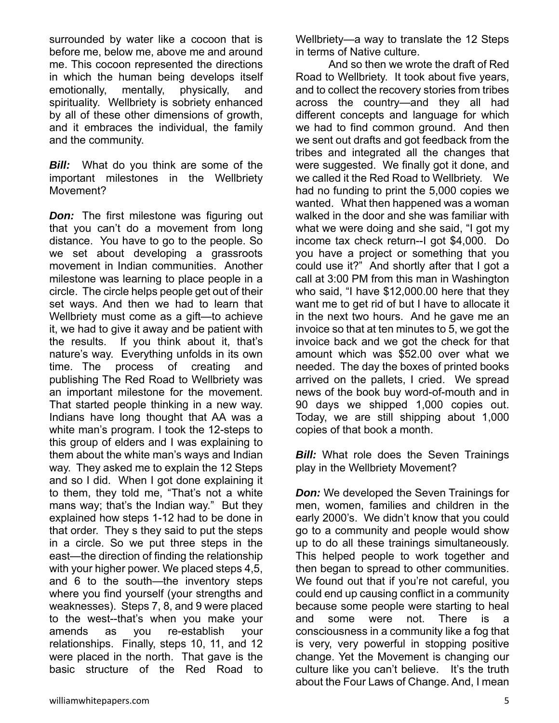surrounded by water like a cocoon that is before me, below me, above me and around me. This cocoon represented the directions in which the human being develops itself emotionally, mentally, physically, and spirituality. Wellbriety is sobriety enhanced by all of these other dimensions of growth, and it embraces the individual, the family and the community.

**Bill:** What do you think are some of the important milestones in the Wellbriety Movement?

*Don:* The first milestone was figuring out that you can't do a movement from long distance. You have to go to the people. So we set about developing a grassroots movement in Indian communities. Another milestone was learning to place people in a circle. The circle helps people get out of their set ways. And then we had to learn that Wellbriety must come as a gift—to achieve it, we had to give it away and be patient with the results. If you think about it, that's nature's way. Everything unfolds in its own time. The process of creating and publishing The Red Road to Wellbriety was an important milestone for the movement. That started people thinking in a new way. Indians have long thought that AA was a white man's program. I took the 12-steps to this group of elders and I was explaining to them about the white man's ways and Indian way. They asked me to explain the 12 Steps and so I did. When I got done explaining it to them, they told me, "That's not a white mans way; that's the Indian way." But they explained how steps 1-12 had to be done in that order. They s they said to put the steps in a circle. So we put three steps in the east—the direction of finding the relationship with your higher power. We placed steps 4.5, and 6 to the south—the inventory steps where you find yourself (your strengths and weaknesses). Steps 7, 8, and 9 were placed to the west--that's when you make your amends as you re-establish your relationships. Finally, steps 10, 11, and 12 were placed in the north. That gave is the basic structure of the Red Road to

 And so then we wrote the draft of Red Road to Wellbriety. It took about five years, and to collect the recovery stories from tribes across the country—and they all had different concepts and language for which we had to find common ground. And then we sent out drafts and got feedback from the tribes and integrated all the changes that were suggested. We finally got it done, and we called it the Red Road to Wellbriety. We had no funding to print the 5,000 copies we wanted. What then happened was a woman walked in the door and she was familiar with what we were doing and she said, "I got my income tax check return--I got \$4,000. Do you have a project or something that you could use it?" And shortly after that I got a call at 3:00 PM from this man in Washington who said, "I have \$12,000.00 here that they want me to get rid of but I have to allocate it in the next two hours. And he gave me an invoice so that at ten minutes to 5, we got the invoice back and we got the check for that amount which was \$52.00 over what we needed. The day the boxes of printed books arrived on the pallets, I cried. We spread news of the book buy word-of-mouth and in 90 days we shipped 1,000 copies out. Today, we are still shipping about 1,000 copies of that book a month.

*Bill:* What role does the Seven Trainings play in the Wellbriety Movement?

*Don:* We developed the Seven Trainings for men, women, families and children in the early 2000's. We didn't know that you could go to a community and people would show up to do all these trainings simultaneously. This helped people to work together and then began to spread to other communities. We found out that if you're not careful, you could end up causing conflict in a community because some people were starting to heal and some were not. There is a consciousness in a community like a fog that is very, very powerful in stopping positive change. Yet the Movement is changing our culture like you can't believe. It's the truth about the Four Laws of Change. And, I mean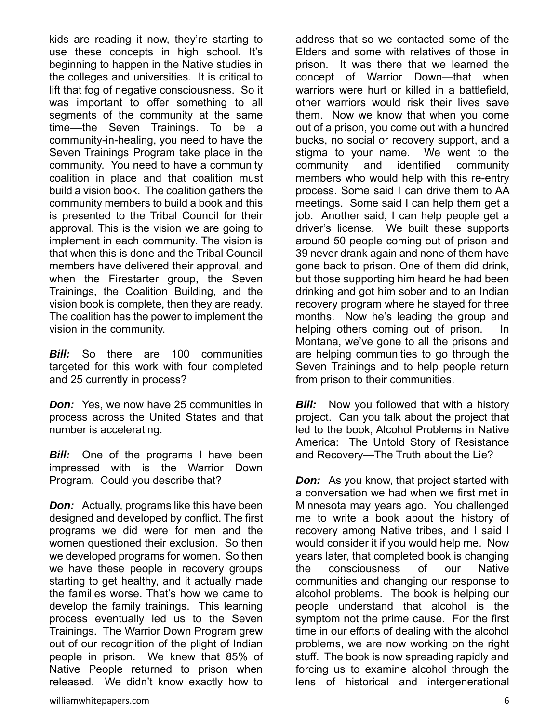kids are reading it now, they're starting to use these concepts in high school. It's beginning to happen in the Native studies in the colleges and universities. It is critical to lift that fog of negative consciousness. So it was important to offer something to all segments of the community at the same time––the Seven Trainings. To be a community-in-healing, you need to have the Seven Trainings Program take place in the community. You need to have a community coalition in place and that coalition must build a vision book. The coalition gathers the community members to build a book and this is presented to the Tribal Council for their approval. This is the vision we are going to implement in each community. The vision is that when this is done and the Tribal Council members have delivered their approval, and when the Firestarter group, the Seven Trainings, the Coalition Building, and the vision book is complete, then they are ready. The coalition has the power to implement the vision in the community.

*Bill:* So there are 100 communities targeted for this work with four completed and 25 currently in process?

*Don:* Yes, we now have 25 communities in process across the United States and that number is accelerating.

*Bill:* One of the programs I have been impressed with is the Warrior Down Program. Could you describe that?

*Don:* Actually, programs like this have been designed and developed by conflict. The first programs we did were for men and the women questioned their exclusion. So then we developed programs for women. So then we have these people in recovery groups starting to get healthy, and it actually made the families worse. That's how we came to develop the family trainings. This learning process eventually led us to the Seven Trainings. The Warrior Down Program grew out of our recognition of the plight of Indian people in prison. We knew that 85% of Native People returned to prison when released. We didn't know exactly how to address that so we contacted some of the Elders and some with relatives of those in prison. It was there that we learned the concept of Warrior Down—that when warriors were hurt or killed in a battlefield, other warriors would risk their lives save them. Now we know that when you come out of a prison, you come out with a hundred bucks, no social or recovery support, and a stigma to your name. We went to the community and identified community members who would help with this re-entry process. Some said I can drive them to AA meetings. Some said I can help them get a job. Another said, I can help people get a driver's license. We built these supports around 50 people coming out of prison and 39 never drank again and none of them have gone back to prison. One of them did drink, but those supporting him heard he had been drinking and got him sober and to an Indian recovery program where he stayed for three months. Now he's leading the group and helping others coming out of prison. In Montana, we've gone to all the prisons and are helping communities to go through the Seven Trainings and to help people return from prison to their communities.

*Bill:* Now you followed that with a history project. Can you talk about the project that led to the book, Alcohol Problems in Native America: The Untold Story of Resistance and Recovery—The Truth about the Lie?

*Don:* As you know, that project started with a conversation we had when we first met in Minnesota may years ago. You challenged me to write a book about the history of recovery among Native tribes, and I said I would consider it if you would help me. Now years later, that completed book is changing the consciousness of our Native communities and changing our response to alcohol problems. The book is helping our people understand that alcohol is the symptom not the prime cause. For the first time in our efforts of dealing with the alcohol problems, we are now working on the right stuff. The book is now spreading rapidly and forcing us to examine alcohol through the lens of historical and intergenerational